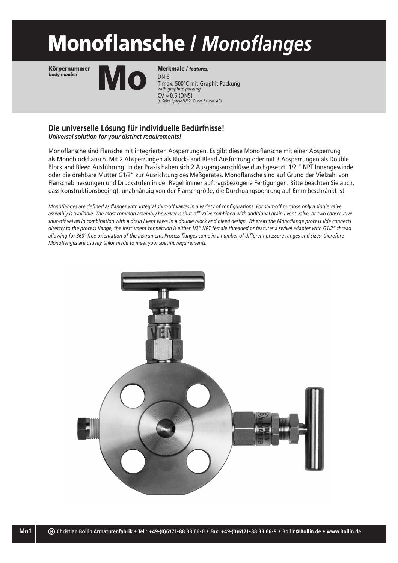# Monoflansche / *Monoflanges*

Körpernummer *body number*



T max. 500°C mit Graphit Packung *with graphite packing*  $CV \approx 0.5$  (DN5) (s. Seite / *page* W12, Kurve / curve A3) Merkmale / *features:*

#### **Die universelle Lösung für individuelle Bedürfnisse!** *Universal solution for your distinct requirements!*

Monoflansche sind Flansche mit integrierten Absperrungen. Es gibt diese Monoflansche mit einer Absperrung als Monoblockflansch. Mit 2 Absperrungen als Block- and Bleed Ausführung oder mit 3 Absperrungen als Double Block and Bleed Ausführung. In der Praxis haben sich 2 Ausgangsanschlüsse durchgesetzt: 1/2 " NPT Innengewinde oder die drehbare Mutter G1/2" zur Ausrichtung des Meßgerätes. Monoflansche sind auf Grund der Vielzahl von Flanschabmessungen und Druckstufen in der Regel immer auftragsbezogene Fertigungen. Bitte beachten Sie auch, dass konstruktionsbedingt, unabhängig von der Flanschgröße, die Durchgangsbohrung auf 6mm beschränkt ist.

*Monoflanges are defined as flanges with integral shut-off valves in a variety of configurations. For shut-off purpose only a single valve*  assembly is available. The most common assembly however is shut-off valve combined with additional drain / vent valve, or two consecutive *shut-off valves in combination with a drain / vent valve in a double block and bleed design. Whereas the Monoflange process side connects directly to the process flange, the instrument connection is either 1/2" NPT female threaded or features a swivel adapter with G1/2" thread allowing for 360° free orientation of the instrument. Process flanges come in a number of different pressure ranges and sizes; therefore Monoflanges are usually tailor made to meet your specific requirements.*

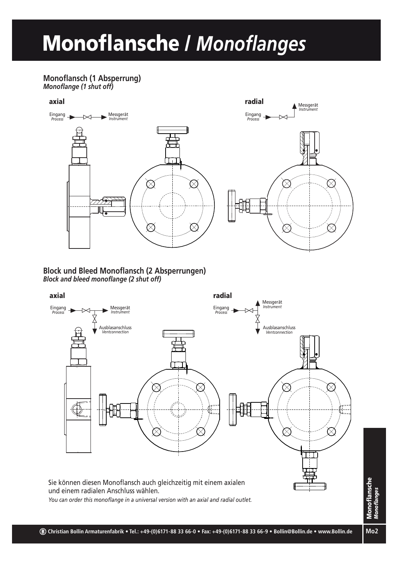## Monoflansche / *Monoflanges*

#### **Monoflansch (1 Absperrung)** *Monoflange (1 shut off)*



### **Block und Bleed Monoflansch (2 Absperrungen)** *Block and bleed monoflange (2 shut off)*



**Mo2**Monoflansche *Monoflanges*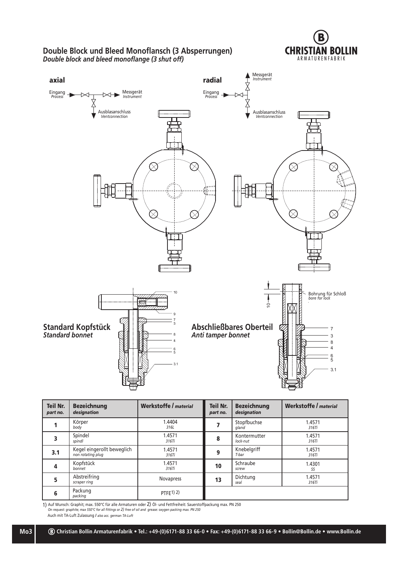

#### **Double Block und Bleed Monoflansch (3 Absperrungen)** *Double block and bleed monoflange (3 shut off)*



| <b>Teil Nr.</b><br>part no. | <b>Bezeichnung</b><br>designation               | Werkstoffe / material | Teil Nr.<br>part no. | <b>Bezeichnung</b><br>designation | <b>Werkstoffe / material</b> |
|-----------------------------|-------------------------------------------------|-----------------------|----------------------|-----------------------------------|------------------------------|
|                             | Körper<br>body                                  | 1.4404<br>316L        |                      | Stopfbuchse<br>gland              | 1.4571<br>316Ti              |
|                             | Spindel<br>spindl                               | 1.4571<br>316Ti       | 8                    | Kontermutter<br>lock-nut          | 1.4571<br>316Ti              |
| 3.1                         | Kegel eingerollt beweglich<br>non rotating plug | 1.4571<br>316Ti       | 9                    | Knebelgriff<br>T-bar              | 1.4571<br>316Ti              |
| 4                           | Kopfstück<br>bonnet                             | 1.4571<br>316Ti       | 10                   | Schraube<br>screw                 | 1.4301<br>SS                 |
| 5                           | Abstreifring<br>scraper ring                    | <b>Novapress</b>      | 13                   | Dichtung<br>seal                  | 1.4571<br>316Ti              |
| 6                           | Packung<br>packing                              | $PTFE1)$ 2)           |                      |                                   |                              |

1) Auf Wunsch: Graphit; max. 550°C für alle Armaturen oder 2) Öl- und Fettfreiheit: Sauerstoffpackung max. PN 250 *On request: graphite; max 550°C for all fittings or 2) free of oil and grease: oxygen packing max. PN 250*

**Mo3**